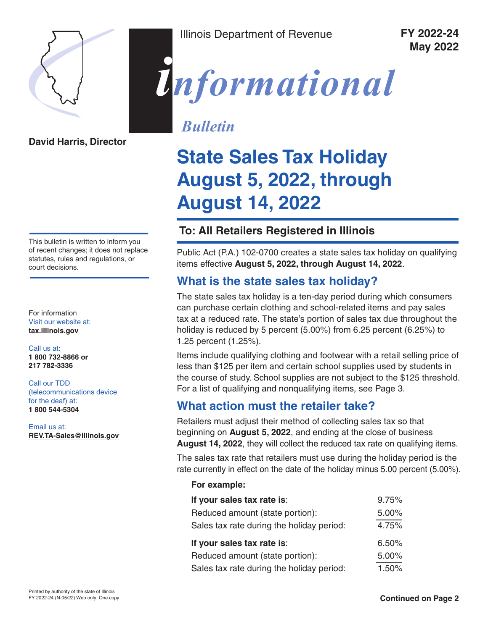

**David Harris, Director**

This bulletin is written to inform you of recent changes; it does not replace statutes, rules and regulations, or court decisions.

For information Visit our website at: **[tax.illinois.gov](http://tax.illinois.gov)**

Call us at: **1 800 732-8866 or 217 782-3336**

Call our TDD (telecommunications device for the deaf) at: **1 800 544-5304**

Email us at: **REV.TA-Sales@illinois.gov** Illinois Department of Revenue **FY 2022-24**

**May 2022**



# *Bulletin*

# **State Sales Tax Holiday August 5, 2022, through August 14, 2022**

# **To: All Retailers Registered in Illinois**

Public Act (P.A.) 102-0700 creates a state sales tax holiday on qualifying items effective **August 5, 2022, through August 14, 2022**.

# **What is the state sales tax holiday?**

The state sales tax holiday is a ten-day period during which consumers can purchase certain clothing and school-related items and pay sales tax at a reduced rate. The state's portion of sales tax due throughout the holiday is reduced by 5 percent (5.00%) from 6.25 percent (6.25%) to 1.25 percent (1.25%).

Items include qualifying clothing and footwear with a retail selling price of less than \$125 per item and certain school supplies used by students in the course of study. School supplies are not subject to the \$125 threshold. For a list of qualifying and nonqualifying items, see Page 3.

# **What action must the retailer take?**

Retailers must adjust their method of collecting sales tax so that beginning on **August 5, 2022**, and ending at the close of business **August 14, 2022**, they will collect the reduced tax rate on qualifying items.

The sales tax rate that retailers must use during the holiday period is the rate currently in effect on the date of the holiday minus 5.00 percent (5.00%).

## **For example:**

| If your sales tax rate is:                | 9.75% |
|-------------------------------------------|-------|
| Reduced amount (state portion):           | 5.00% |
| Sales tax rate during the holiday period: | 4.75% |
|                                           |       |
| If your sales tax rate is:                | 6.50% |
| Reduced amount (state portion):           | 5.00% |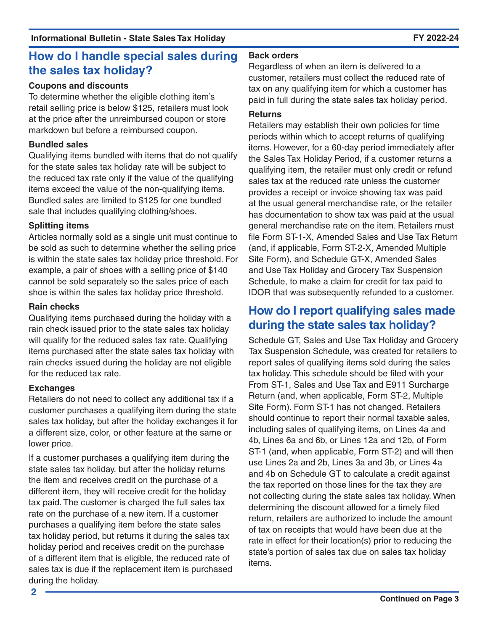# **How do I handle special sales during the sales tax holiday?**

## **Coupons and discounts**

To determine whether the eligible clothing item's retail selling price is below \$125, retailers must look at the price after the unreimbursed coupon or store markdown but before a reimbursed coupon.

# **Bundled sales**

Qualifying items bundled with items that do not qualify for the state sales tax holiday rate will be subject to the reduced tax rate only if the value of the qualifying items exceed the value of the non-qualifying items. Bundled sales are limited to \$125 for one bundled sale that includes qualifying clothing/shoes.

# **Splitting items**

Articles normally sold as a single unit must continue to be sold as such to determine whether the selling price is within the state sales tax holiday price threshold. For example, a pair of shoes with a selling price of \$140 cannot be sold separately so the sales price of each shoe is within the sales tax holiday price threshold.

## **Rain checks**

Qualifying items purchased during the holiday with a rain check issued prior to the state sales tax holiday will qualify for the reduced sales tax rate. Qualifying items purchased after the state sales tax holiday with rain checks issued during the holiday are not eligible for the reduced tax rate.

## **Exchanges**

Retailers do not need to collect any additional tax if a customer purchases a qualifying item during the state sales tax holiday, but after the holiday exchanges it for a different size, color, or other feature at the same or lower price.

If a customer purchases a qualifying item during the state sales tax holiday, but after the holiday returns the item and receives credit on the purchase of a different item, they will receive credit for the holiday tax paid. The customer is charged the full sales tax rate on the purchase of a new item. If a customer purchases a qualifying item before the state sales tax holiday period, but returns it during the sales tax holiday period and receives credit on the purchase of a different item that is eligible, the reduced rate of sales tax is due if the replacement item is purchased during the holiday.

## **Back orders**

Regardless of when an item is delivered to a customer, retailers must collect the reduced rate of tax on any qualifying item for which a customer has paid in full during the state sales tax holiday period.

# **Returns**

Retailers may establish their own policies for time periods within which to accept returns of qualifying items. However, for a 60-day period immediately after the Sales Tax Holiday Period, if a customer returns a qualifying item, the retailer must only credit or refund sales tax at the reduced rate unless the customer provides a receipt or invoice showing tax was paid at the usual general merchandise rate, or the retailer has documentation to show tax was paid at the usual general merchandise rate on the item. Retailers must file Form ST-1-X, Amended Sales and Use Tax Return (and, if applicable, Form ST-2-X, Amended Multiple Site Form), and Schedule GT-X, Amended Sales and Use Tax Holiday and Grocery Tax Suspension Schedule, to make a claim for credit for tax paid to IDOR that was subsequently refunded to a customer.

# **How do I report qualifying sales made during the state sales tax holiday?**

Schedule GT, Sales and Use Tax Holiday and Grocery Tax Suspension Schedule, was created for retailers to report sales of qualifying items sold during the sales tax holiday. This schedule should be filed with your From ST-1, Sales and Use Tax and E911 Surcharge Return (and, when applicable, Form ST-2, Multiple Site Form). Form ST-1 has not changed. Retailers should continue to report their normal taxable sales, including sales of qualifying items, on Lines 4a and 4b, Lines 6a and 6b, or Lines 12a and 12b, of Form ST-1 (and, when applicable, Form ST-2) and will then use Lines 2a and 2b, Lines 3a and 3b, or Lines 4a and 4b on Schedule GT to calculate a credit against the tax reported on those lines for the tax they are not collecting during the state sales tax holiday. When determining the discount allowed for a timely filed return, retailers are authorized to include the amount of tax on receipts that would have been due at the rate in effect for their location(s) prior to reducing the state's portion of sales tax due on sales tax holiday items.